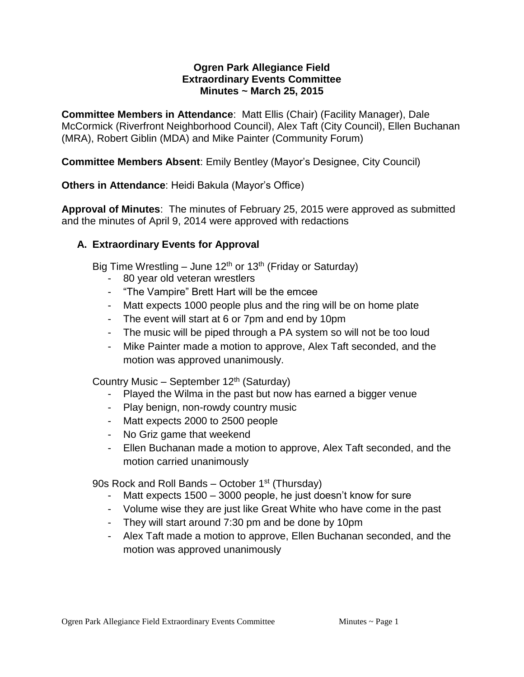## **Ogren Park Allegiance Field Extraordinary Events Committee Minutes ~ March 25, 2015**

**Committee Members in Attendance**: Matt Ellis (Chair) (Facility Manager), Dale McCormick (Riverfront Neighborhood Council), Alex Taft (City Council), Ellen Buchanan (MRA), Robert Giblin (MDA) and Mike Painter (Community Forum)

**Committee Members Absent**: Emily Bentley (Mayor's Designee, City Council)

**Others in Attendance**: Heidi Bakula (Mayor's Office)

**Approval of Minutes**: The minutes of February 25, 2015 were approved as submitted and the minutes of April 9, 2014 were approved with redactions

## **A. Extraordinary Events for Approval**

Big Time Wrestling – June 12<sup>th</sup> or 13<sup>th</sup> (Friday or Saturday)

- 80 year old veteran wrestlers
- "The Vampire" Brett Hart will be the emcee
- Matt expects 1000 people plus and the ring will be on home plate
- The event will start at 6 or 7pm and end by 10pm
- The music will be piped through a PA system so will not be too loud
- Mike Painter made a motion to approve, Alex Taft seconded, and the motion was approved unanimously.

Country Music – September 12th (Saturday)

- Played the Wilma in the past but now has earned a bigger venue
- Play benign, non-rowdy country music
- Matt expects 2000 to 2500 people
- No Griz game that weekend
- Ellen Buchanan made a motion to approve, Alex Taft seconded, and the motion carried unanimously

90s Rock and Roll Bands – October 1<sup>st</sup> (Thursday)

- Matt expects 1500 3000 people, he just doesn't know for sure
- Volume wise they are just like Great White who have come in the past
- They will start around 7:30 pm and be done by 10pm
- Alex Taft made a motion to approve, Ellen Buchanan seconded, and the motion was approved unanimously